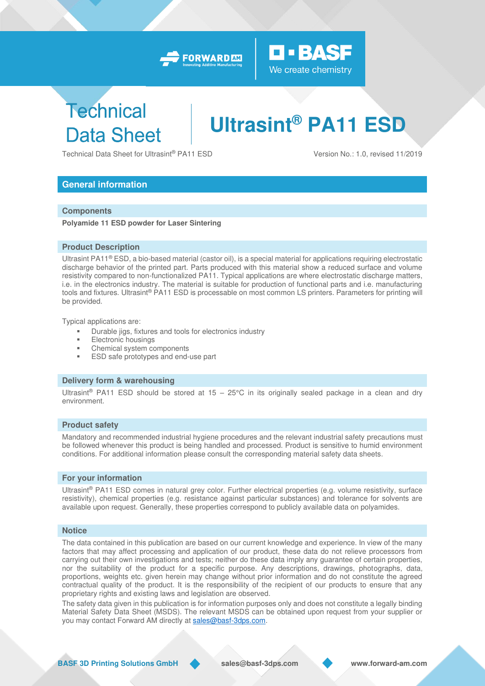



# **Technical Data Sheet**

# **Ultrasint® PA11 ESD**

Technical Data Sheet for Ultrasint® PA11 ESD Version No.: 1.0, revised 11/2019

# **General information**

### **Components**

**Polyamide 11 ESD powder for Laser Sintering** 

### **Product Description**

Ultrasint PA11® ESD, a bio-based material (castor oil), is a special material for applications requiring electrostatic discharge behavior of the printed part. Parts produced with this material show a reduced surface and volume resistivity compared to non-functionalized PA11. Typical applications are where electrostatic discharge matters, i.e. in the electronics industry. The material is suitable for production of functional parts and i.e. manufacturing tools and fixtures. Ultrasint® PA11 ESD is processable on most common LS printers. Parameters for printing will be provided.

Typical applications are:

- Durable jigs, fixtures and tools for electronics industry
- **Electronic housings**
- Chemical system components
- **ESD safe prototypes and end-use part**

## **Delivery form & warehousing**

Ultrasint<sup>®</sup> PA11 ESD should be stored at  $15 - 25^{\circ}$ C in its originally sealed package in a clean and dry environment.

#### **Product safety**

Mandatory and recommended industrial hygiene procedures and the relevant industrial safety precautions must be followed whenever this product is being handled and processed. Product is sensitive to humid environment conditions. For additional information please consult the corresponding material safety data sheets.

#### **For your information**

Ultrasint® PA11 ESD comes in natural grey color. Further electrical properties (e.g. volume resistivity, surface resistivity), chemical properties (e.g. resistance against particular substances) and tolerance for solvents are available upon request. Generally, these properties correspond to publicly available data on polyamides.

#### **Notice**

The data contained in this publication are based on our current knowledge and experience. In view of the many factors that may affect processing and application of our product, these data do not relieve processors from carrying out their own investigations and tests; neither do these data imply any guarantee of certain properties, nor the suitability of the product for a specific purpose. Any descriptions, drawings, photographs, data, proportions, weights etc. given herein may change without prior information and do not constitute the agreed contractual quality of the product. It is the responsibility of the recipient of our products to ensure that any proprietary rights and existing laws and legislation are observed.

The safety data given in this publication is for information purposes only and does not constitute a legally binding Material Safety Data Sheet (MSDS). The relevant MSDS can be obtained upon request from your supplier or you may contact Forward AM directly at [sales@basf-3dps.com.](mailto:sales@basf-3dps.com)

**BASF 3D Printing Solutions GmbH sales@basf-3dps.com www.forward-am.com**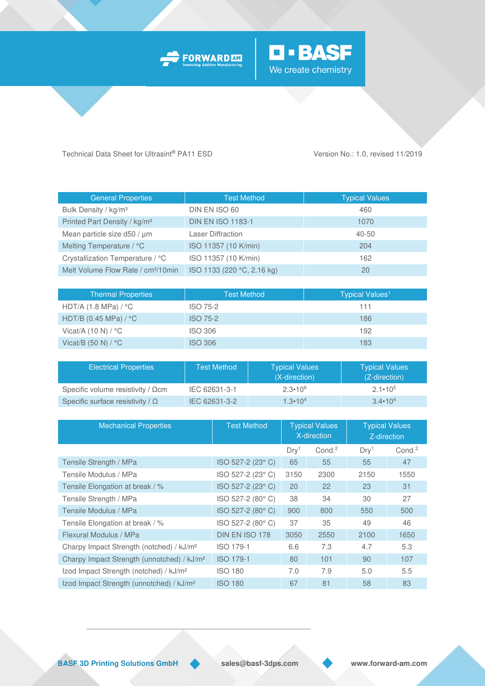



Technical Data Sheet for Ultrasint® PA11 ESD Version No.: 1.0, revised 11/2019

| General Properties                             | <b>Test Method</b>         | <b>Typical Values</b> |
|------------------------------------------------|----------------------------|-----------------------|
| Bulk Density / kg/m <sup>3</sup>               | DIN EN ISO 60              | 460                   |
| Printed Part Density / kg/m <sup>3</sup>       | <b>DIN EN ISO 1183-1</b>   | 1070                  |
| Mean particle size d50 / µm                    | <b>Laser Diffraction</b>   | 40-50                 |
| Melting Temperature / °C                       | ISO 11357 (10 K/min)       | 204                   |
| Crystallization Temperature / °C               | ISO 11357 (10 K/min)       | 162                   |
| Melt Volume Flow Rate / cm <sup>3</sup> /10min | ISO 1133 (220 °C, 2.16 kg) | 20                    |

| <b>Thermal Properties</b>             | <b>Test Method</b> | Typical Values <sup>1</sup> |
|---------------------------------------|--------------------|-----------------------------|
| HDT/A $(1.8 \text{ MPa}) / ^{\circ}C$ | ISO 75-2           | 111                         |
| HDT/B (0.45 MPa) / °C                 | <b>ISO 75-2</b>    | 186                         |
| Vicat/A $(10 N) / °C$                 | <b>ISO 306</b>     | 192                         |
| Vicat/B $(50 N) / °C$                 | <b>ISO 306</b>     | 183                         |

| <b>Electrical Properties</b>              | <b>Test Method</b> | <b>Typical Values</b><br>(X-direction) | <b>Typical Values</b><br>(Z-direction) |
|-------------------------------------------|--------------------|----------------------------------------|----------------------------------------|
| Specific volume resistivity / $\Omega$ cm | IEC 62631-3-1      | $2.3 \cdot 10^{6}$                     | $2.1 \cdot 10^{5}$                     |
| Specific surface resistivity / $\Omega$   | IEC 62631-3-2      | $1.3 \cdot 10^{4}$                     | $3.4 \cdot 10^{4}$                     |

| <b>Mechanical Properties</b>                           | <b>Test Method</b> | <b>Typical Values</b><br>X-direction |                   | <b>Typical Values</b><br>Z-direction |                   |
|--------------------------------------------------------|--------------------|--------------------------------------|-------------------|--------------------------------------|-------------------|
|                                                        |                    | Drv <sup>1</sup>                     | Cond <sup>2</sup> | Drv <sup>1</sup>                     | Cond <sup>2</sup> |
| Tensile Strength / MPa                                 | ISO 527-2 (23° C)  | 65                                   | 55                | 55                                   | 47                |
| Tensile Modulus / MPa                                  | ISO 527-2 (23° C)  | 3150                                 | 2300              | 2150                                 | 1550              |
| Tensile Elongation at break / %                        | ISO 527-2 (23°C)   | 20                                   | 22                | 23                                   | 31                |
| Tensile Strength / MPa                                 | ISO 527-2 (80°C)   | 38                                   | 34                | 30                                   | 27                |
| Tensile Modulus / MPa                                  | ISO 527-2 (80°C)   | 900                                  | 800               | 550                                  | 500               |
| Tensile Elongation at break / %                        | ISO 527-2 (80°C)   | 37                                   | 35                | 49                                   | 46                |
| Flexural Modulus / MPa                                 | DIN EN ISO 178     | 3050                                 | 2550              | 2100                                 | 1650              |
| Charpy Impact Strength (notched) / kJ/m <sup>2</sup>   | ISO 179-1          | 6.6                                  | 7.3               | 4.7                                  | 5.3               |
| Charpy Impact Strength (unnotched) / kJ/m <sup>2</sup> | <b>ISO 179-1</b>   | 80                                   | 101               | 90                                   | 107               |
| Izod Impact Strength (notched) / kJ/m <sup>2</sup>     | <b>ISO 180</b>     | 7.0                                  | 7.9               | 5.0                                  | 5.5               |
| Izod Impact Strength (unnotched) / kJ/m <sup>2</sup>   | <b>ISO 180</b>     | 67                                   | 81                | 58                                   | 83                |

**BASF 3D Printing Solutions GmbH sales@basf-3dps.com www.forward-am.com** 

\_\_\_\_\_\_\_\_\_\_\_\_\_\_\_\_\_\_\_\_\_\_\_\_\_\_\_\_\_\_\_\_\_\_\_\_\_\_\_\_\_\_\_\_\_\_\_\_\_\_\_\_\_\_\_